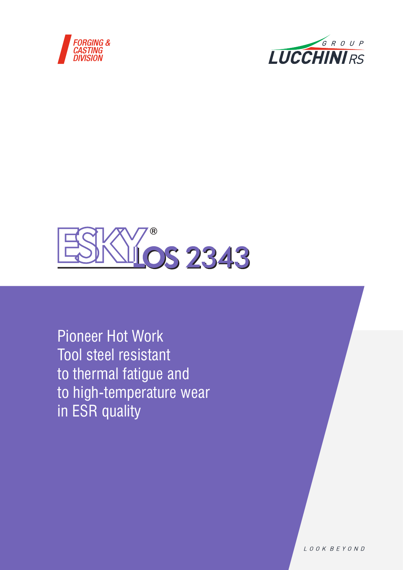





Pioneer Hot Work Tool steel resistant to thermal fatigue and to high-temperature wear in ESR quality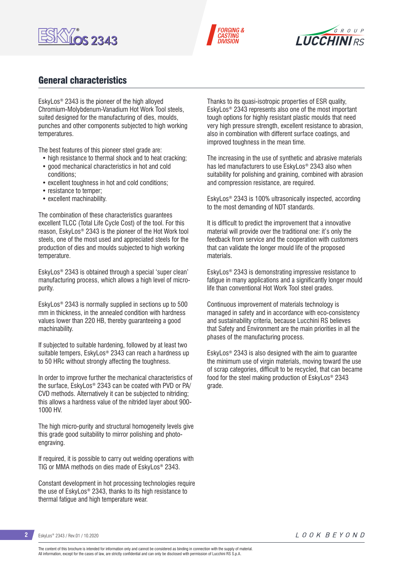





## General characteristics

EskyLos® 2343 is the pioneer of the high alloyed Chromium-Molybdenum-Vanadium Hot Work Tool steels, suited designed for the manufacturing of dies, moulds, punches and other components subjected to high working temperatures.

The best features of this pioneer steel grade are:

- high resistance to thermal shock and to heat cracking;
- good mechanical characteristics in hot and cold conditions;
- excellent toughness in hot and cold conditions;
- resistance to temper;
- excellent machinability.

The combination of these characteristics guarantees excellent TLCC (Total Life Cycle Cost) of the tool. For this reason, EskyLos® 2343 is the pioneer of the Hot Work tool steels, one of the most used and appreciated steels for the production of dies and moulds subjected to high working temperature.

EskyLos® 2343 is obtained through a special 'super clean' manufacturing process, which allows a high level of micropurity.

EskyLos® 2343 is normally supplied in sections up to 500 mm in thickness, in the annealed condition with hardness values lower than 220 HB, thereby guaranteeing a good machinability.

If subjected to suitable hardening, followed by at least two suitable tempers, EskyLos® 2343 can reach a hardness up to 50 HRc without strongly affecting the toughness.

In order to improve further the mechanical characteristics of the surface, EskyLos® 2343 can be coated with PVD or PA/ CVD methods. Alternatively it can be subjected to nitriding; this allows a hardness value of the nitrided layer about 900- 1000 HV.

The high micro-purity and structural homogeneity levels give this grade good suitability to mirror polishing and photoengraving.

If required, it is possible to carry out welding operations with TIG or MMA methods on dies made of EskyLos® 2343.

Constant development in hot processing technologies require the use of EskyLos® 2343, thanks to its high resistance to thermal fatigue and high temperature wear.

Thanks to its quasi-isotropic properties of ESR quality, EskyLos® 2343 represents also one of the most important tough options for highly resistant plastic moulds that need very high pressure strength, excellent resistance to abrasion, also in combination with different surface coatings, and improved toughness in the mean time.

The increasing in the use of synthetic and abrasive materials has led manufacturers to use EskyLos® 2343 also when suitability for polishing and graining, combined with abrasion and compression resistance, are required.

EskyLos® 2343 is 100% ultrasonically inspected, according to the most demanding of NDT standards.

It is difficult to predict the improvement that a innovative material will provide over the traditional one: it's only the feedback from service and the cooperation with customers that can validate the longer mould life of the proposed materials.

EskyLos® 2343 is demonstrating impressive resistance to fatigue in many applications and a significantly longer mould life than conventional Hot Work Tool steel grades.

Continuous improvement of materials technology is managed in safety and in accordance with eco-consistency and sustainability criteria, because Lucchini RS believes that Safety and Environment are the main priorities in all the phases of the manufacturing process.

EskyLos® 2343 is also designed with the aim to guarantee the minimum use of virgin materials, moving toward the use of scrap categories, difficult to be recycled, that can became food for the steel making production of EskyLos® 2343 grade.

**2** EskyLos® 2343 / Rev.01 / 10.2020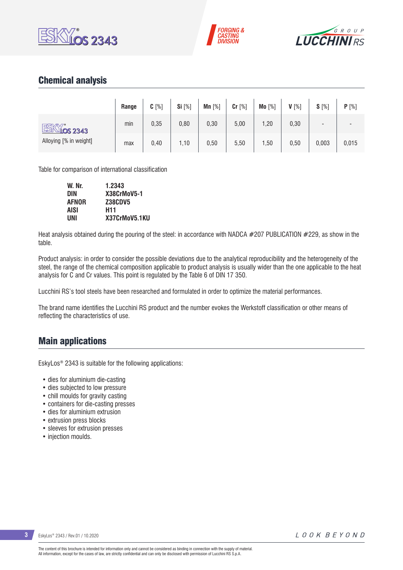





## Chemical analysis

|                                                           | Range | $C[\%]$ | <b>Si</b> [%] | Mn $[%]$ | $Cr$ [%] | Mo [%] | $V[\%]$ | $S[\%]$                  | P[%]  |
|-----------------------------------------------------------|-------|---------|---------------|----------|----------|--------|---------|--------------------------|-------|
| ESKY:<br>$\frac{11}{10}$ S 2343<br>Alloying [% in weight] | min   | 0,35    | 0,80          | 0,30     | 5,00     | 1,20   | 0,30    | $\overline{\phantom{0}}$ | -     |
|                                                           | max   | 0,40    | ,10           | 0,50     | 5,50     | 1,50   | 0,50    | 0,003                    | 0,015 |

Table for comparison of international classification

| W. Nr.       | 1.2343         |
|--------------|----------------|
| <b>DIN</b>   | X38CrMoV5-1    |
| <b>AFNOR</b> | <b>Z38CDV5</b> |
| AISI         | H11            |
| UNI          | X37CrMoV5.1KU  |

Heat analysis obtained during the pouring of the steel: in accordance with NADCA #207 PUBLICATION #229, as show in the table.

Product analysis: in order to consider the possible deviations due to the analytical reproducibility and the heterogeneity of the steel, the range of the chemical composition applicable to product analysis is usually wider than the one applicable to the heat analysis for C and Cr values. This point is regulated by the Table 6 of DIN 17 350.

Lucchini RS's tool steels have been researched and formulated in order to optimize the material performances.

The brand name identifies the Lucchini RS product and the number evokes the Werkstoff classification or other means of reflecting the characteristics of use.

### Main applications

EskyLos® 2343 is suitable for the following applications:

- dies for aluminium die-casting
- dies subjected to low pressure
- chill moulds for gravity casting
- containers for die-casting presses
- dies for aluminium extrusion
- extrusion press blocks
- sleeves for extrusion presses
- injection moulds.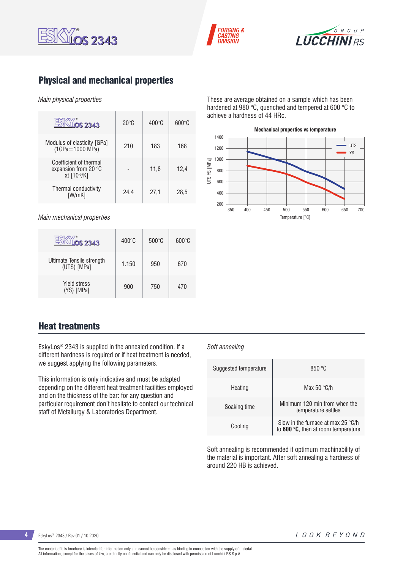





# Physical and mechanical properties

#### *Main physical properties*

| $\overline{\text{OS}}$ 2343                                   | $20^{\circ}$ C | $400^{\circ}$ C | $600\degree$ C |
|---------------------------------------------------------------|----------------|-----------------|----------------|
| Modulus of elasticity [GPa]<br>(1GPa=1000 MPa)                | 210            | 183             | 168            |
| Coefficient of thermal<br>expansion from 20 °C<br>at [10-6/K] |                | 11,8            | 12,4           |
| Thermal conductivity<br>IW/mK1                                | 24,4           | 27,1            | 28,5           |

*Main mechanical properties*

| <b>OS 2343</b>                           | $400^{\circ}$ C | $500^{\circ}$ C | $600^{\circ}$ C |
|------------------------------------------|-----------------|-----------------|-----------------|
| Ultimate Tensile strength<br>(UTS) [MPa] | 1.150           | 950             | 670             |
| <b>Yield stress</b><br>(YS) [MPa]        | 900             | 750             | 470             |

These are average obtained on a sample which has been hardened at 980 °C, quenched and tempered at 600 °C to achieve a hardness of 44 HRc.



### Heat treatments

EskyLos® 2343 is supplied in the annealed condition. If a different hardness is required or if heat treatment is needed, we suggest applying the following parameters.

This information is only indicative and must be adapted depending on the different heat treatment facilities employed and on the thickness of the bar: for any question and particular requirement don't hesitate to contact our technical staff of Metallurgy & Laboratories Department.

#### *Soft annealing*

| Suggested temperature | 850 °C                                                                                |
|-----------------------|---------------------------------------------------------------------------------------|
| Heating               | Max 50 $\degree$ C/h                                                                  |
| Soaking time          | Minimum 120 min from when the<br>temperature settles                                  |
| Cooling               | Slow in the furnace at max 25 $\degree$ C/h<br>to $600 °C$ , then at room temperature |

Soft annealing is recommended if optimum machinability of the material is important. After soft annealing a hardness of around 220 HB is achieved.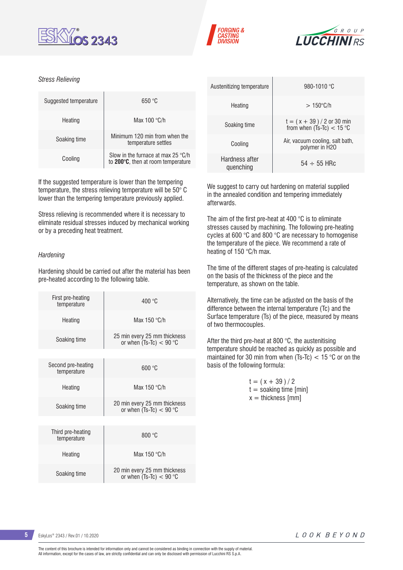





#### *Stress Relieving*

| Suggested temperature | 650 °C                                                                            |
|-----------------------|-----------------------------------------------------------------------------------|
| Heating               | Max $100 °C/h$                                                                    |
| Soaking time          | Minimum 120 min from when the<br>temperature settles                              |
| Cooling               | Slow in the furnace at max 25 $\degree$ C/h<br>to 200°C, then at room temperature |

If the suggested temperature is lower than the tempering temperature, the stress relieving temperature will be 50° C lower than the tempering temperature previously applied.

Stress relieving is recommended where it is necessary to eliminate residual stresses induced by mechanical working or by a preceding heat treatment.

#### *Hardening*

Hardening should be carried out after the material has been pre-heated according to the following table.

| First pre-heating<br>temperature  | 400 °C                                                    |
|-----------------------------------|-----------------------------------------------------------|
| Heating                           | Max 150 °C/h                                              |
| Soaking time                      | 25 min every 25 mm thickness<br>or when $(Ts-TC) < 90$ °C |
|                                   |                                                           |
| Second pre-heating<br>temperature | 600 °C                                                    |
| Heating                           | Max 150 $\degree$ C/h                                     |
| Soaking time                      | 20 min every 25 mm thickness<br>or when $(Ts-Tc) < 90$ °C |
|                                   |                                                           |
| Third pre-heating<br>temperature  | 800 °C                                                    |
| Heating                           | Max 150 °C/h                                              |
| Soaking time                      | 20 min every 25 mm thickness<br>or when $(Ts-TC) < 90$ °C |

| Austenitizing temperature   | 980-1010 °C                                                 |
|-----------------------------|-------------------------------------------------------------|
| Heating                     | $>150^{\circ}$ C/h                                          |
| Soaking time                | $t = (x + 39) / 2$ or 30 min<br>from when $(Ts-Tc) < 15$ °C |
| Cooling                     | Air, vacuum cooling, salt bath,<br>polymer in H2O           |
| Hardness after<br>quenching | $54 \div 55$ HRc                                            |

We suggest to carry out hardening on material supplied in the annealed condition and tempering immediately afterwards.

The aim of the first pre-heat at 400 °C is to eliminate stresses caused by machining. The following pre-heating cycles at 600 °C and 800 °C are necessary to homogenise the temperature of the piece. We recommend a rate of heating of 150 °C/h max.

The time of the different stages of pre-heating is calculated on the basis of the thickness of the piece and the temperature, as shown on the table.

Alternatively, the time can be adjusted on the basis of the difference between the internal temperature (Tc) and the Surface temperature (Ts) of the piece, measured by means of two thermocouples.

After the third pre-heat at 800 °C, the austenitising temperature should be reached as quickly as possible and maintained for 30 min from when (Ts-Tc)  $<$  15 °C or on the basis of the following formula:

| $t = (x + 39)/2$         |
|--------------------------|
| $t =$ soaking time [min] |
| $x =$ thickness [mm]     |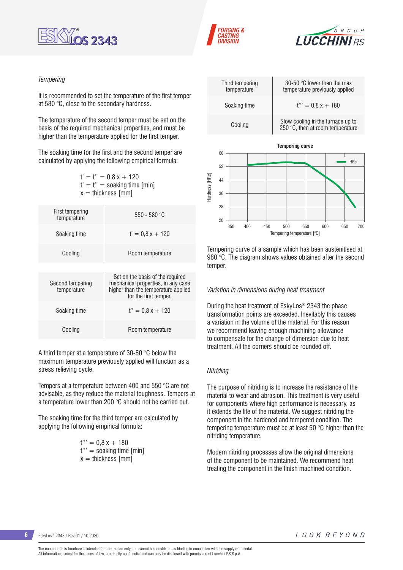





#### *Tempering*

It is recommended to set the temperature of the first temper at 580 °C, close to the secondary hardness.

The temperature of the second temper must be set on the basis of the required mechanical properties, and must be higher than the temperature applied for the first temper.

The soaking time for the first and the second temper are calculated by applying the following empirical formula:

> $t' = t'' = 0.8x + 120$  $t' = t'' =$  soaking time [min]  $x =$  thickness [mm]

| <b>First tempering</b><br>temperature | $550 - 580$ °C                                                                                                                         |
|---------------------------------------|----------------------------------------------------------------------------------------------------------------------------------------|
| Soaking time                          | $t' = 0.8x + 120$                                                                                                                      |
| Cooling                               | Room temperature                                                                                                                       |
|                                       |                                                                                                                                        |
| Second tempering<br>temperature       | Set on the basis of the required<br>mechanical properties, in any case<br>higher than the temperature applied<br>for the first temper. |
| Soaking time                          | $t'' = 0.8x + 120$                                                                                                                     |
| Cooling                               | Room temperature                                                                                                                       |

A third temper at a temperature of 30-50 °C below the maximum temperature previously applied will function as a stress relieving cycle.

Tempers at a temperature between 400 and 550 °C are not advisable, as they reduce the material toughness. Tempers at a temperature lower than 200 °C should not be carried out.

The soaking time for the third temper are calculated by applying the following empirical formula:

> $t''' = 0.8 x + 180$ t''' = soaking time [min]  $x =$  thickness [mm]



Tempering curve of a sample which has been austenitised at 980 °C. The diagram shows values obtained after the second temper.

#### *Variation in dimensions during heat treatment*

During the heat treatment of EskyLos® 2343 the phase transformation points are exceeded. Inevitably this causes a variation in the volume of the material. For this reason we recommend leaving enough machining allowance to compensate for the change of dimension due to heat treatment. All the corners should be rounded off.

#### *Nitriding*

The purpose of nitriding is to increase the resistance of the material to wear and abrasion. This treatment is very useful for components where high performance is necessary, as it extends the life of the material. We suggest nitriding the component in the hardened and tempered condition. The tempering temperature must be at least 50 °C higher than the nitriding temperature.

Modern nitriding processes allow the original dimensions of the component to be maintained. We recommend heat treating the component in the finish machined condition.

**6** EskyLos® 2343 / Rev.01 / 10.2020

LOOK BEYOND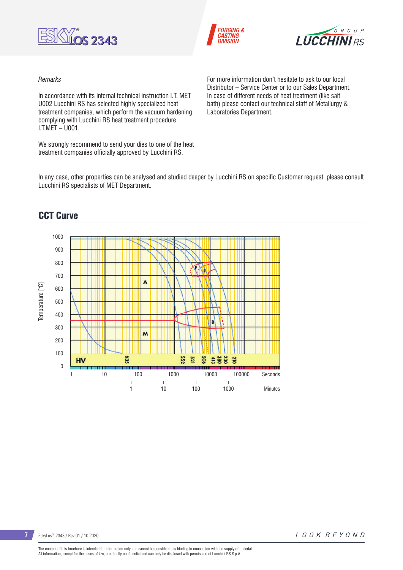





#### *Remarks*

In accordance with its internal technical instruction LT. MET U002 Lucchini RS has selected highly specialized heat treatment companies, which perform the vacuum hardening complying with Lucchini RS heat treatment procedure I.T.MET – U001.

We strongly recommend to send your dies to one of the heat treatment companies officially approved by Lucchini RS.

For more information don't hesitate to ask to our local Distributor – Service Center or to our Sales Department. In case of different needs of heat treatment (like salt bath) please contact our technical staff of Metallurgy & Laboratories Department.

In any case, other properties can be analysed and studied deeper by Lucchini RS on specific Customer request: please consult Lucchini RS specialists of MET Department.



## CCT Curve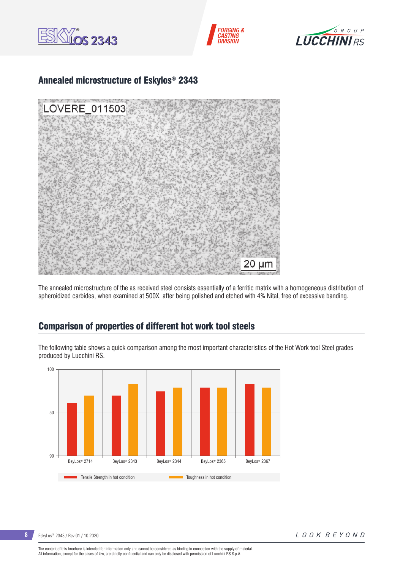





### Annealed microstructure of Eskylos® 2343



The annealed microstructure of the as received steel consists essentially of a ferritic matrix with a homogeneous distribution of spheroidized carbides, when examined at 500X, after being polished and etched with 4% Nital, free of excessive banding.

### Comparison of properties of different hot work tool steels

The following table shows a quick comparison among the most important characteristics of the Hot Work tool Steel grades produced by Lucchini RS.



**8** EskyLos® 2343 / Rev.01 / 10.2020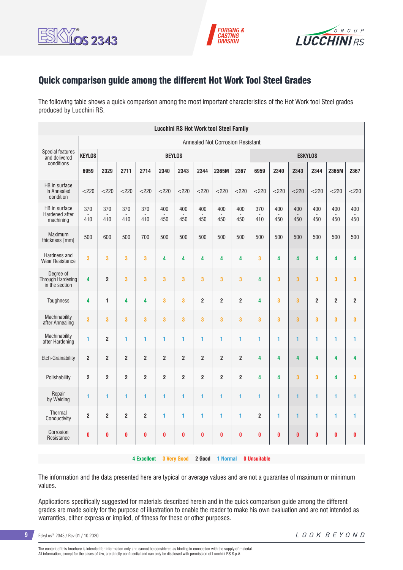





## Quick comparison guide among the different Hot Work Tool Steel Grades

The following table shows a quick comparison among the most important characteristics of the Hot Work tool Steel grades produced by Lucchini RS.

| <b>Lucchini RS Hot Work tool Steel Family</b>    |                                         |                |                         |                         |                |                         |                |                |                         |                     |            |                         |                |                |                         |
|--------------------------------------------------|-----------------------------------------|----------------|-------------------------|-------------------------|----------------|-------------------------|----------------|----------------|-------------------------|---------------------|------------|-------------------------|----------------|----------------|-------------------------|
|                                                  | <b>Annealed Not Corrosion Resistant</b> |                |                         |                         |                |                         |                |                |                         |                     |            |                         |                |                |                         |
| <b>Special features</b><br>and delivered         | <b>KEYLOS</b>                           | <b>BEYLOS</b>  |                         |                         |                |                         |                |                | <b>ESKYLOS</b>          |                     |            |                         |                |                |                         |
| conditions                                       | 6959                                    | 2329           | 2711                    | 2714                    | 2340           | 2343                    | 2344           | 2365M          | 2367                    | 6959                | 2340       | 2343                    | 2344           | 2365M          | 2367                    |
| HB in surface<br>In Annealed<br>condition        | $<$ 220                                 | $<$ 220        | $<$ 220                 | $<$ 220                 | $<$ 220        | < 220                   | $<$ 220        | < 220          | $<$ 220                 | $<$ 220             | $<$ 220    | $<$ 220                 | $<$ 220        | $<$ 220        | $<$ 220                 |
| HB in surface<br>Hardened after<br>machining     | 370<br>410                              | 370<br>410     | 370<br>410              | 370<br>410              | 400<br>450     | 400<br>450              | 400<br>450     | 400<br>450     | 400<br>450              | 370<br>410          | 400<br>450 | 400<br>450              | 400<br>450     | 400<br>450     | 400<br>450              |
| Maximum<br>thickness [mm]                        | 500                                     | 600            | 500                     | 700                     | 500            | 500                     | 500            | 500            | 500                     | 500                 | 500        | 500                     | 500            | 500            | 500                     |
| Hardness and<br><b>Wear Resistance</b>           | 3                                       | 3              | 3                       | 3                       | 4              | 4                       | 4              | 4              | 4                       | 3                   | 4          | 4                       | 4              | 4              | 4                       |
| Degree of<br>Through Hardening<br>in the section | 4                                       | $\overline{2}$ | 3                       | 3                       | 3              | 3                       | 3              | 3              | 3                       | 4                   | 3          | 3                       | 3              | 3              | 3                       |
| <b>Toughness</b>                                 | 4                                       | 1              | 4                       | 4                       | 3              | 3                       | $\overline{2}$ | $\overline{2}$ | $\overline{2}$          | 4                   | 3          | $\overline{\mathbf{3}}$ | $\overline{2}$ | $\overline{2}$ | $\overline{2}$          |
| Machinability<br>after Annealing                 | 3                                       | 3              | 3                       | 3                       | 3              | 3                       | 3              | 3              | 3                       | 3                   | 3          | 3                       | 3              | 3              | $\overline{\mathbf{3}}$ |
| Machinability<br>after Hardening                 | 1                                       | $\overline{2}$ | 1                       | 1                       | 1              | 1                       | 1              | 1              | 1                       | 1                   | 1          | $\mathbf{1}$            | 1              | 1              | 1                       |
| <b>Etch-Grainability</b>                         | $\overline{2}$                          | $\overline{2}$ | $\overline{2}$          | $\overline{2}$          | $\overline{2}$ | $\overline{\mathbf{c}}$ | $\overline{2}$ | 2              | $\mathbf 2$             | 4                   | 4          | 4                       | 4              | 4              | 4                       |
| Polishability                                    | $\overline{\mathbf{c}}$                 | $\overline{2}$ | $\overline{\mathbf{c}}$ | $\overline{\mathbf{c}}$ | $\overline{2}$ | $\overline{\mathbf{c}}$ | $\overline{2}$ | 2              | $\overline{\mathbf{c}}$ | 4                   | 4          | $\overline{\mathbf{3}}$ | 3              | 4              | $\overline{\mathbf{3}}$ |
| Repair<br>by Welding                             | 1                                       | 1              | 1                       | 1                       | 1              | 1                       | 1              | 1              | 1                       | 1                   | 1          | 1                       | 1              | 1              | 1                       |
| Thermal<br>Conductivity                          | $\overline{2}$                          | $\overline{2}$ | $\overline{2}$          | $\overline{2}$          | 1              | 1                       | 1              | 1              | 1                       | $\overline{2}$      | 1          | $\mathbf{1}$            | 1              | 1              | 1                       |
| Corrosion<br>Resistance                          | 0                                       | 0              | 0                       | $\bf{0}$                | $\pmb{0}$      | 0                       | $\pmb{0}$      | 0              | $\pmb{0}$               | 0                   | $\bf{0}$   | $\bf{0}$                | 0              | $\bf{0}$       | $\pmb{0}$               |
|                                                  |                                         |                |                         | <b>4 Excellent</b>      |                | <b>3 Very Good</b>      | 2 Good         | 1 Normal       |                         | <b>0 Unsuitable</b> |            |                         |                |                |                         |

The information and the data presented here are typical or average values and are not a guarantee of maximum or minimum values.

Applications specifically suggested for materials described herein and in the quick comparison guide among the different grades are made solely for the purpose of illustration to enable the reader to make his own evaluation and are not intended as warranties, either express or implied, of fitness for these or other purposes.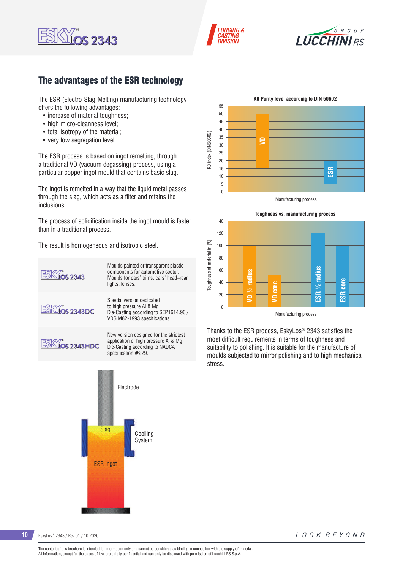





## The advantages of the ESR technology

The ESR (Electro-Slag-Melting) manufacturing technology offers the following advantages:

- increase of material toughness:
- high micro-cleanness level:
- total isotropy of the material;
- very low segregation level.

The ESR process is based on ingot remelting, through a traditional VD (vacuum degassing) process, using a particular copper ingot mould that contains basic slag.

The ingot is remelted in a way that the liquid metal passes through the slag, which acts as a filter and retains the inclusions.

The process of solidification inside the ingot mould is faster than in a traditional process.

The result is homogeneous and isotropic steel.









Thanks to the ESR process, EskyLos® 2343 satisfies the most difficult requirements in terms of toughness and suitability to polishing. It is suitable for the manufacture of moulds subjected to mirror polishing and to high mechanical stress.

**10** EskyLos® 2343 / Rev.01 / 10.2020

LOOK BEYOND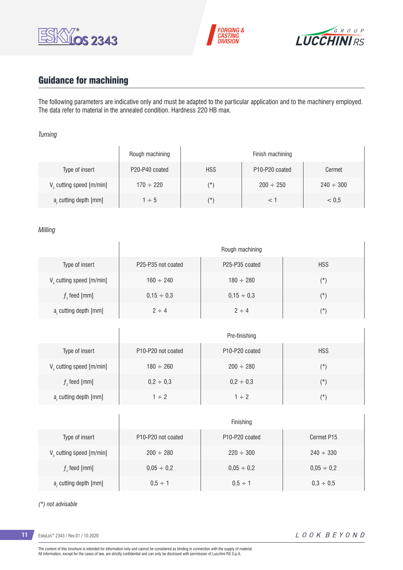





# Guidance for machining

 $\overline{1}$ 

The following parameters are indicative only and must be adapted to the particular application and to the machinery employed. The data refer to material in the annealed condition. Hardness 220 HB max.

#### *Turning*

|                                      | Rough machining | Finish machining |                                         |                |  |  |  |  |
|--------------------------------------|-----------------|------------------|-----------------------------------------|----------------|--|--|--|--|
| Type of insert                       | P20-P40 coated  | <b>HSS</b>       | P <sub>10</sub> -P <sub>20</sub> coated | Cermet         |  |  |  |  |
| V <sub>c</sub> cutting speed [m/min] | $170 \div 220$  | $(\star)$        | $200 \div 250$                          | $240 \div 300$ |  |  |  |  |
| a, cutting depth [mm]                | $1 \div 5$      | $(\star)$        |                                         | < 0.5          |  |  |  |  |

#### *Milling*

|                                      | Rough machining                             |                                         |            |  |  |  |
|--------------------------------------|---------------------------------------------|-----------------------------------------|------------|--|--|--|
| Type of insert                       | P <sub>25</sub> -P <sub>35</sub> not coated | P <sub>25</sub> -P <sub>35</sub> coated | <b>HSS</b> |  |  |  |
| V <sub>c</sub> cutting speed [m/min] | $160 \div 240$                              | $180 \div 280$                          | $(\star)$  |  |  |  |
| $f$ , feed [mm]                      | $0,15 \div 0,3$                             | $0.15 \div 0.3$                         | $(\star)$  |  |  |  |
| a, cutting depth [mm]                | $2 \div 4$                                  | $2 \div 4$                              | $(\star)$  |  |  |  |

|                             | Pre-finishing                               |                                         |               |  |  |  |
|-----------------------------|---------------------------------------------|-----------------------------------------|---------------|--|--|--|
| Type of insert              | P <sub>10</sub> -P <sub>20</sub> not coated | P <sub>10</sub> -P <sub>20</sub> coated | <b>HSS</b>    |  |  |  |
| $V_c$ cutting speed [m/min] | $180 \div 260$                              | $200 \div 280$                          | $(\star)$     |  |  |  |
| $fz$ feed [mm]              | $0,2 \div 0,3$                              | $0,2 \div 0,3$                          | $(\texttt{'}$ |  |  |  |
| a, cutting depth [mm]       | $1 \div 2$                                  | $1 \div 2$                              | $(\star)$     |  |  |  |

|                               | Finishing                                   |                                         |                 |  |  |  |
|-------------------------------|---------------------------------------------|-----------------------------------------|-----------------|--|--|--|
| Type of insert                | P <sub>10</sub> -P <sub>20</sub> not coated | P <sub>10</sub> -P <sub>20</sub> coated | Cermet P15      |  |  |  |
| $V_c$ cutting speed $[m/min]$ | $200 \div 280$                              | $220 \div 300$                          | $240 \div 330$  |  |  |  |
| $f$ , feed [mm]               | $0,05 \div 0,2$                             | $0,05 \div 0,2$                         | $0,05 \div 0,2$ |  |  |  |
| a, cutting depth [mm]         | $0.5 \div 1$                                | $0.5 \div 1$                            | $0.3 \div 0.5$  |  |  |  |

#### *(\*) not advisable*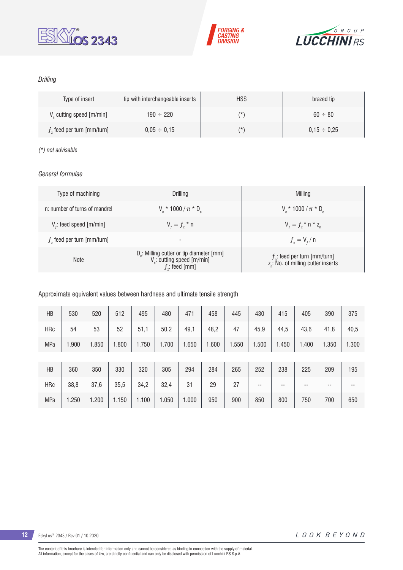





### *Drilling*

| Type of insert                       | tip with interchangeable inserts | <b>HSS</b> | brazed tip       |
|--------------------------------------|----------------------------------|------------|------------------|
| V <sub>c</sub> cutting speed [m/min] | $190 \div 220$                   | (*         | $60 \div 80$     |
| $fz$ feed per turn [mm/turn]         | $0.05 \div 0.15$                 | (*         | $0.15 \div 0.25$ |

#### *(\*) not advisable*

### *General formulae*

| Type of machining             | Drilling                                                                                                          | Milling                                                                           |
|-------------------------------|-------------------------------------------------------------------------------------------------------------------|-----------------------------------------------------------------------------------|
| n: number of turns of mandrel | $V_c * 1000 / \pi * D_c$                                                                                          | $V_r * 1000 / \pi * D_c$                                                          |
| $Vf$ : feed speed [m/min]     | $V_{f} = f_{7}$ * n                                                                                               | $V_{f} = f_{i} * n * z_{n}$                                                       |
| $fz$ feed per turn [mm/turn]  | -                                                                                                                 | $f_{n} = V_{f} / n$                                                               |
| <b>Note</b>                   | D <sub>r</sub> : Milling cutter or tip diameter [mm]<br>V <sub>c</sub> : cutting speed [m/min]<br>$f$ : feed [mm] | $f_n$ : feed per turn [mm/turn]<br>z <sub>a</sub> : No. of milling cutter inserts |

#### Approximate equivalent values between hardness and ultimate tensile strength

| HB         | 530   | 520   | 512   | 495   | 480   | 471   | 458   | 445   | 430   | 415   | 405   | 390   | 375   |
|------------|-------|-------|-------|-------|-------|-------|-------|-------|-------|-------|-------|-------|-------|
| <b>HRc</b> | 54    | 53    | 52    | 51,1  | 50,2  | 49,1  | 48,2  | 47    | 45,9  | 44,5  | 43,6  | 41,8  | 40,5  |
| <b>MPa</b> | 1.900 | 1.850 | .800  | 1.750 | 1.700 | 1.650 | 1.600 | 1.550 | 1.500 | 1.450 | 1.400 | 1.350 | 1.300 |
|            |       |       |       |       |       |       |       |       |       |       |       |       |       |
| HB         | 360   | 350   | 330   | 320   | 305   | 294   | 284   | 265   | 252   | 238   | 225   | 209   | 195   |
| <b>HRc</b> | 38,8  | 37,6  | 35,5  | 34,2  | 32,4  | 31    | 29    | 27    | $- -$ | --    | --    | $- -$ | --    |
| <b>MPa</b> | 1.250 | 1.200 | 1.150 | 1.100 | 1.050 | 1.000 | 950   | 900   | 850   | 800   | 750   | 700   | 650   |